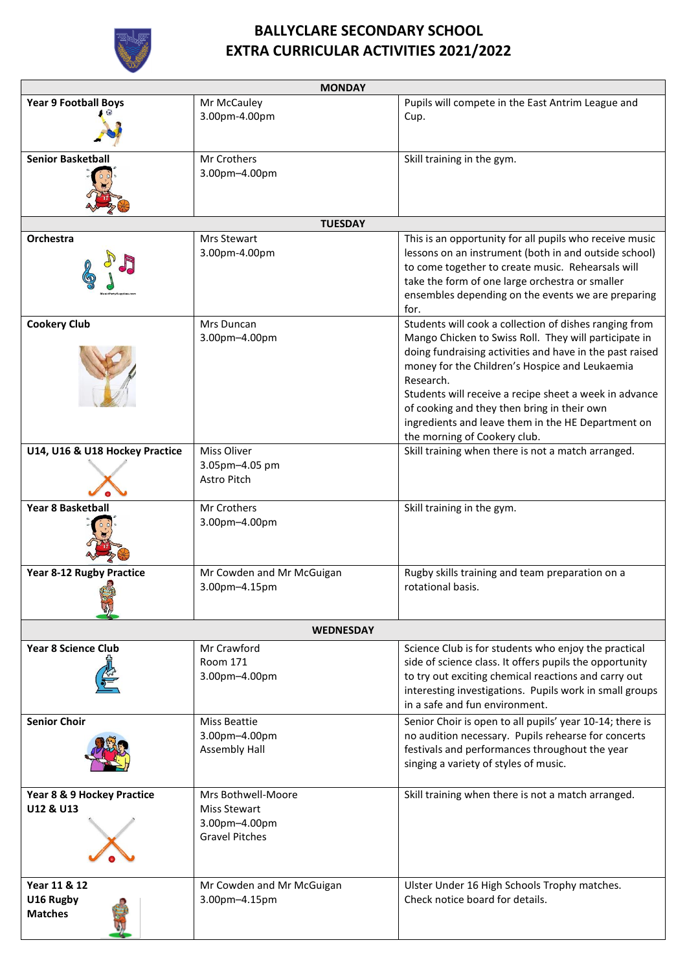

## **BALLYCLARE SECONDARY SCHOOL EXTRA CURRICULAR ACTIVITIES 2021/2022**

| <b>MONDAY</b>                               |                                                                                     |                                                                                                                                                                                                                                                                                                                                                                                                                                           |  |
|---------------------------------------------|-------------------------------------------------------------------------------------|-------------------------------------------------------------------------------------------------------------------------------------------------------------------------------------------------------------------------------------------------------------------------------------------------------------------------------------------------------------------------------------------------------------------------------------------|--|
| <b>Year 9 Football Boys</b>                 | Mr McCauley<br>3.00pm-4.00pm                                                        | Pupils will compete in the East Antrim League and<br>Cup.                                                                                                                                                                                                                                                                                                                                                                                 |  |
|                                             |                                                                                     |                                                                                                                                                                                                                                                                                                                                                                                                                                           |  |
| <b>Senior Basketball</b>                    | Mr Crothers<br>3.00pm-4.00pm                                                        | Skill training in the gym.                                                                                                                                                                                                                                                                                                                                                                                                                |  |
| <b>TUESDAY</b>                              |                                                                                     |                                                                                                                                                                                                                                                                                                                                                                                                                                           |  |
| Orchestra                                   | Mrs Stewart<br>3.00pm-4.00pm                                                        | This is an opportunity for all pupils who receive music<br>lessons on an instrument (both in and outside school)<br>to come together to create music. Rehearsals will<br>take the form of one large orchestra or smaller<br>ensembles depending on the events we are preparing<br>for.                                                                                                                                                    |  |
| <b>Cookery Club</b>                         | Mrs Duncan<br>3.00pm-4.00pm                                                         | Students will cook a collection of dishes ranging from<br>Mango Chicken to Swiss Roll. They will participate in<br>doing fundraising activities and have in the past raised<br>money for the Children's Hospice and Leukaemia<br>Research.<br>Students will receive a recipe sheet a week in advance<br>of cooking and they then bring in their own<br>ingredients and leave them in the HE Department on<br>the morning of Cookery club. |  |
| U14, U16 & U18 Hockey Practice              | Miss Oliver<br>3.05pm-4.05 pm<br>Astro Pitch                                        | Skill training when there is not a match arranged.                                                                                                                                                                                                                                                                                                                                                                                        |  |
| Year 8 Basketball                           | Mr Crothers<br>3.00pm-4.00pm                                                        | Skill training in the gym.                                                                                                                                                                                                                                                                                                                                                                                                                |  |
| <b>Year 8-12 Rugby Practice</b>             | Mr Cowden and Mr McGuigan<br>3.00pm-4.15pm                                          | Rugby skills training and team preparation on a<br>rotational basis.                                                                                                                                                                                                                                                                                                                                                                      |  |
| <b>WEDNESDAY</b>                            |                                                                                     |                                                                                                                                                                                                                                                                                                                                                                                                                                           |  |
| <b>Year 8 Science Club</b>                  | Mr Crawford<br>Room 171<br>3.00pm-4.00pm                                            | Science Club is for students who enjoy the practical<br>side of science class. It offers pupils the opportunity<br>to try out exciting chemical reactions and carry out<br>interesting investigations. Pupils work in small groups<br>in a safe and fun environment.                                                                                                                                                                      |  |
| <b>Senior Choir</b>                         | Miss Beattie<br>3.00pm-4.00pm<br><b>Assembly Hall</b>                               | Senior Choir is open to all pupils' year 10-14; there is<br>no audition necessary. Pupils rehearse for concerts<br>festivals and performances throughout the year<br>singing a variety of styles of music.                                                                                                                                                                                                                                |  |
| Year 8 & 9 Hockey Practice<br>U12 & U13     | Mrs Bothwell-Moore<br><b>Miss Stewart</b><br>3.00pm-4.00pm<br><b>Gravel Pitches</b> | Skill training when there is not a match arranged.                                                                                                                                                                                                                                                                                                                                                                                        |  |
| Year 11 & 12<br>U16 Rugby<br><b>Matches</b> | Mr Cowden and Mr McGuigan<br>3.00pm-4.15pm                                          | Ulster Under 16 High Schools Trophy matches.<br>Check notice board for details.                                                                                                                                                                                                                                                                                                                                                           |  |